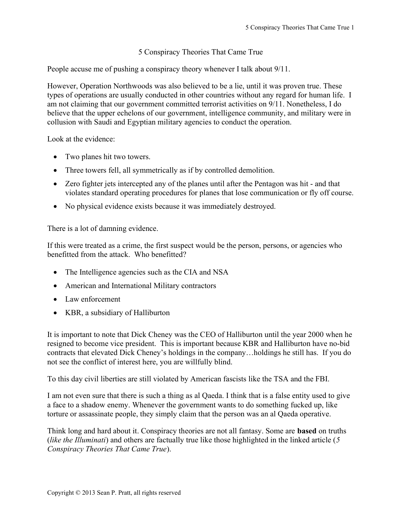## 5 Conspiracy Theories That Came True

People accuse me of pushing a conspiracy theory whenever I talk about 9/11.

However, Operation Northwoods was also believed to be a lie, until it was proven true. These types of operations are usually conducted in other countries without any regard for human life. I am not claiming that our government committed terrorist activities on 9/11. Nonetheless, I do believe that the upper echelons of our government, intelligence community, and military were in collusion with Saudi and Egyptian military agencies to conduct the operation.

Look at the evidence:

- Two planes hit two towers.
- Three towers fell, all symmetrically as if by controlled demolition.
- Zero fighter jets intercepted any of the planes until after the Pentagon was hit and that violates standard operating procedures for planes that lose communication or fly off course.
- No physical evidence exists because it was immediately destroyed.

There is a lot of damning evidence.

If this were treated as a crime, the first suspect would be the person, persons, or agencies who benefitted from the attack. Who benefitted?

- The Intelligence agencies such as the CIA and NSA
- American and International Military contractors
- Law enforcement
- KBR, a subsidiary of Halliburton

It is important to note that Dick Cheney was the CEO of Halliburton until the year 2000 when he resigned to become vice president. This is important because KBR and Halliburton have no-bid contracts that elevated Dick Cheney's holdings in the company…holdings he still has. If you do not see the conflict of interest here, you are willfully blind.

To this day civil liberties are still violated by American fascists like the TSA and the FBI.

I am not even sure that there is such a thing as al Qaeda. I think that is a false entity used to give a face to a shadow enemy. Whenever the government wants to do something fucked up, like torture or assassinate people, they simply claim that the person was an al Qaeda operative.

Think long and hard about it. Conspiracy theories are not all fantasy. Some are based on truths (*like the Illuminati*) and others are factually true like those highlighted in the linked article (5 Conspiracy Theories That Came True).